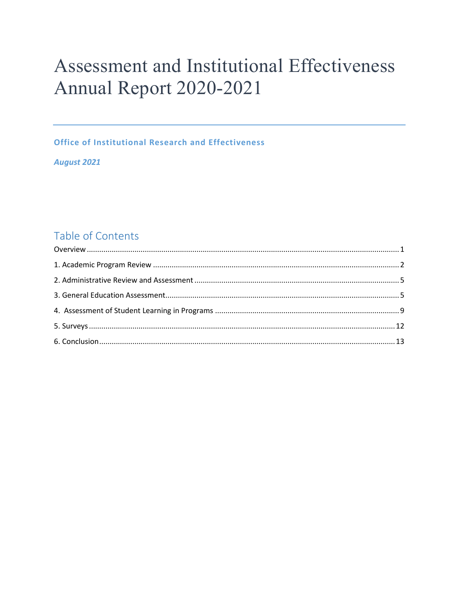# Assessment and Institutional Effectiveness Annual Report 2020-2021

**Office of Institutional Research and Effectiveness** 

**August 2021** 

# Table of Contents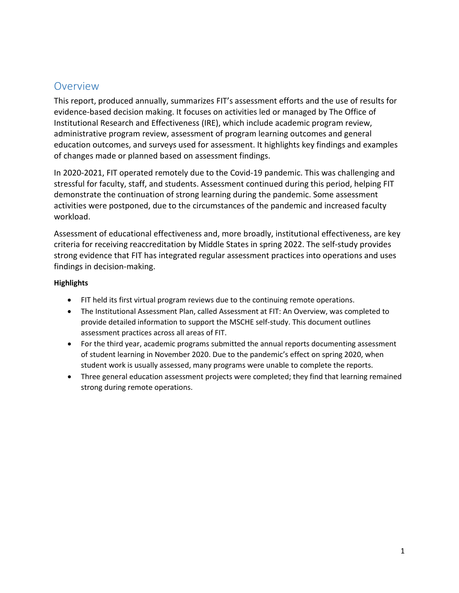### <span id="page-1-0"></span>Overview

This report, produced annually, summarizes FIT's assessment efforts and the use of results for evidence-based decision making. It focuses on activities led or managed by The Office of Institutional Research and Effectiveness (IRE), which include academic program review, administrative program review, assessment of program learning outcomes and general education outcomes, and surveys used for assessment. It highlights key findings and examples of changes made or planned based on assessment findings.

In 2020-2021, FIT operated remotely due to the Covid-19 pandemic. This was challenging and stressful for faculty, staff, and students. Assessment continued during this period, helping FIT demonstrate the continuation of strong learning during the pandemic. Some assessment activities were postponed, due to the circumstances of the pandemic and increased faculty workload.

Assessment of educational effectiveness and, more broadly, institutional effectiveness, are key criteria for receiving reaccreditation by Middle States in spring 2022. The self-study provides strong evidence that FIT has integrated regular assessment practices into operations and uses findings in decision-making.

#### **Highlights**

- FIT held its first virtual program reviews due to the continuing remote operations.
- The Institutional Assessment Plan, called Assessment at FIT: An Overview, was completed to provide detailed information to support the MSCHE self-study. This document outlines assessment practices across all areas of FIT.
- For the third year, academic programs submitted the annual reports documenting assessment of student learning in November 2020. Due to the pandemic's effect on spring 2020, when student work is usually assessed, many programs were unable to complete the reports.
- Three general education assessment projects were completed; they find that learning remained strong during remote operations.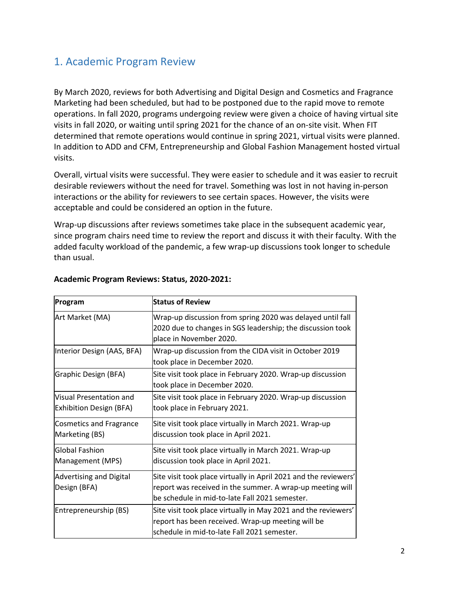# <span id="page-2-0"></span>1. Academic Program Review

By March 2020, reviews for both Advertising and Digital Design and Cosmetics and Fragrance Marketing had been scheduled, but had to be postponed due to the rapid move to remote operations. In fall 2020, programs undergoing review were given a choice of having virtual site visits in fall 2020, or waiting until spring 2021 for the chance of an on-site visit. When FIT determined that remote operations would continue in spring 2021, virtual visits were planned. In addition to ADD and CFM, Entrepreneurship and Global Fashion Management hosted virtual visits.

Overall, virtual visits were successful. They were easier to schedule and it was easier to recruit desirable reviewers without the need for travel. Something was lost in not having in-person interactions or the ability for reviewers to see certain spaces. However, the visits were acceptable and could be considered an option in the future.

Wrap-up discussions after reviews sometimes take place in the subsequent academic year, since program chairs need time to review the report and discuss it with their faculty. With the added faculty workload of the pandemic, a few wrap-up discussions took longer to schedule than usual.

| Program                                                   | <b>Status of Review</b>                                                                                                                                                         |
|-----------------------------------------------------------|---------------------------------------------------------------------------------------------------------------------------------------------------------------------------------|
| Art Market (MA)                                           | Wrap-up discussion from spring 2020 was delayed until fall<br>2020 due to changes in SGS leadership; the discussion took<br>place in November 2020.                             |
| Interior Design (AAS, BFA)                                | Wrap-up discussion from the CIDA visit in October 2019<br>took place in December 2020.                                                                                          |
| Graphic Design (BFA)                                      | Site visit took place in February 2020. Wrap-up discussion<br>took place in December 2020.                                                                                      |
| Visual Presentation and<br><b>Exhibition Design (BFA)</b> | Site visit took place in February 2020. Wrap-up discussion<br>took place in February 2021.                                                                                      |
| <b>Cosmetics and Fragrance</b><br>Marketing (BS)          | Site visit took place virtually in March 2021. Wrap-up<br>discussion took place in April 2021.                                                                                  |
| <b>Global Fashion</b><br>Management (MPS)                 | Site visit took place virtually in March 2021. Wrap-up<br>discussion took place in April 2021.                                                                                  |
| <b>Advertising and Digital</b><br>Design (BFA)            | Site visit took place virtually in April 2021 and the reviewers'<br>report was received in the summer. A wrap-up meeting will<br>be schedule in mid-to-late Fall 2021 semester. |
| Entrepreneurship (BS)                                     | Site visit took place virtually in May 2021 and the reviewers'<br>report has been received. Wrap-up meeting will be<br>schedule in mid-to-late Fall 2021 semester.              |

#### **Academic Program Reviews: Status, 2020-2021:**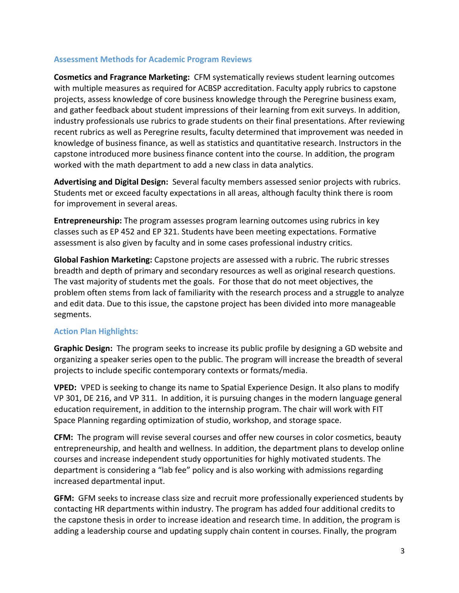#### **Assessment Methods for Academic Program Reviews**

**Cosmetics and Fragrance Marketing:** CFM systematically reviews student learning outcomes with multiple measures as required for ACBSP accreditation. Faculty apply rubrics to capstone projects, assess knowledge of core business knowledge through the Peregrine business exam, and gather feedback about student impressions of their learning from exit surveys. In addition, industry professionals use rubrics to grade students on their final presentations. After reviewing recent rubrics as well as Peregrine results, faculty determined that improvement was needed in knowledge of business finance, as well as statistics and quantitative research. Instructors in the capstone introduced more business finance content into the course. In addition, the program worked with the math department to add a new class in data analytics.

**Advertising and Digital Design:** Several faculty members assessed senior projects with rubrics. Students met or exceed faculty expectations in all areas, although faculty think there is room for improvement in several areas.

**Entrepreneurship:** The program assesses program learning outcomes using rubrics in key classes such as EP 452 and EP 321. Students have been meeting expectations. Formative assessment is also given by faculty and in some cases professional industry critics.

**Global Fashion Marketing:** Capstone projects are assessed with a rubric. The rubric stresses breadth and depth of primary and secondary resources as well as original research questions. The vast majority of students met the goals. For those that do not meet objectives, the problem often stems from lack of familiarity with the research process and a struggle to analyze and edit data. Due to this issue, the capstone project has been divided into more manageable segments.

#### **Action Plan Highlights:**

**Graphic Design:** The program seeks to increase its public profile by designing a GD website and organizing a speaker series open to the public. The program will increase the breadth of several projects to include specific contemporary contexts or formats/media.

**VPED:** VPED is seeking to change its name to Spatial Experience Design. It also plans to modify VP 301, DE 216, and VP 311. In addition, it is pursuing changes in the modern language general education requirement, in addition to the internship program. The chair will work with FIT Space Planning regarding optimization of studio, workshop, and storage space.

**CFM:** The program will revise several courses and offer new courses in color cosmetics, beauty entrepreneurship, and health and wellness. In addition, the department plans to develop online courses and increase independent study opportunities for highly motivated students. The department is considering a "lab fee" policy and is also working with admissions regarding increased departmental input.

**GFM:** GFM seeks to increase class size and recruit more professionally experienced students by contacting HR departments within industry. The program has added four additional credits to the capstone thesis in order to increase ideation and research time. In addition, the program is adding a leadership course and updating supply chain content in courses. Finally, the program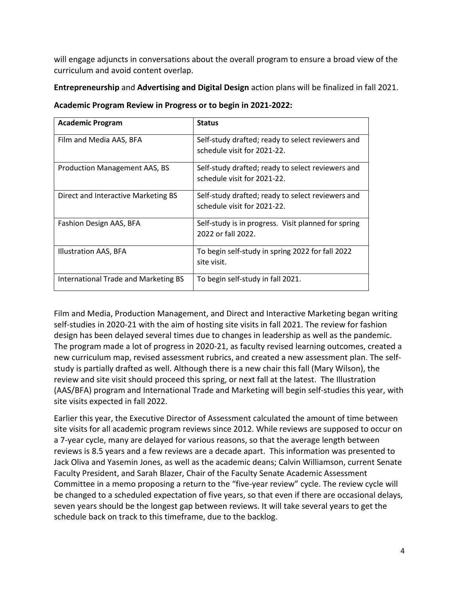will engage adjuncts in conversations about the overall program to ensure a broad view of the curriculum and avoid content overlap.

**Entrepreneurship** and **Advertising and Digital Design** action plans will be finalized in fall 2021.

| <b>Academic Program</b>              | <b>Status</b>                                                                    |
|--------------------------------------|----------------------------------------------------------------------------------|
| Film and Media AAS, BFA              | Self-study drafted; ready to select reviewers and<br>schedule visit for 2021-22. |
| <b>Production Management AAS, BS</b> | Self-study drafted; ready to select reviewers and                                |
|                                      | schedule visit for 2021-22.                                                      |
| Direct and Interactive Marketing BS  | Self-study drafted; ready to select reviewers and<br>schedule visit for 2021-22. |
| Fashion Design AAS, BFA              | Self-study is in progress. Visit planned for spring<br>2022 or fall 2022.        |
| Illustration AAS, BFA                | To begin self-study in spring 2022 for fall 2022<br>site visit.                  |
| International Trade and Marketing BS | To begin self-study in fall 2021.                                                |

**Academic Program Review in Progress or to begin in 2021-2022:** 

Film and Media, Production Management, and Direct and Interactive Marketing began writing self-studies in 2020-21 with the aim of hosting site visits in fall 2021. The review for fashion design has been delayed several times due to changes in leadership as well as the pandemic. The program made a lot of progress in 2020-21, as faculty revised learning outcomes, created a new curriculum map, revised assessment rubrics, and created a new assessment plan. The selfstudy is partially drafted as well. Although there is a new chair this fall (Mary Wilson), the review and site visit should proceed this spring, or next fall at the latest. The Illustration (AAS/BFA) program and International Trade and Marketing will begin self-studies this year, with site visits expected in fall 2022.

Earlier this year, the Executive Director of Assessment calculated the amount of time between site visits for all academic program reviews since 2012. While reviews are supposed to occur on a 7-year cycle, many are delayed for various reasons, so that the average length between reviews is 8.5 years and a few reviews are a decade apart. This information was presented to Jack Oliva and Yasemin Jones, as well as the academic deans; Calvin Williamson, current Senate Faculty President, and Sarah Blazer, Chair of the Faculty Senate Academic Assessment Committee in a memo proposing a return to the "five-year review" cycle. The review cycle will be changed to a scheduled expectation of five years, so that even if there are occasional delays, seven years should be the longest gap between reviews. It will take several years to get the schedule back on track to this timeframe, due to the backlog.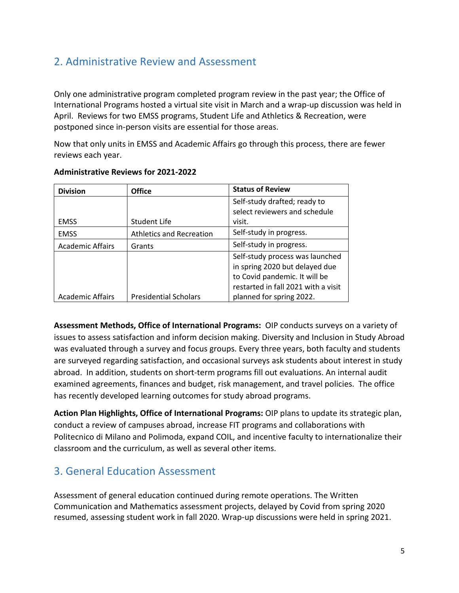# <span id="page-5-0"></span>2. Administrative Review and Assessment

Only one administrative program completed program review in the past year; the Office of International Programs hosted a virtual site visit in March and a wrap-up discussion was held in April. Reviews for two EMSS programs, Student Life and Athletics & Recreation, were postponed since in-person visits are essential for those areas.

Now that only units in EMSS and Academic Affairs go through this process, there are fewer reviews each year.

| <b>Division</b>         | <b>Office</b>                     | <b>Status of Review</b>                                           |
|-------------------------|-----------------------------------|-------------------------------------------------------------------|
|                         |                                   | Self-study drafted; ready to                                      |
|                         |                                   | select reviewers and schedule                                     |
| <b>EMSS</b>             | <b>Student Life</b>               | visit.                                                            |
| <b>EMSS</b>             | <b>Athletics and Recreation</b>   | Self-study in progress.                                           |
| <b>Academic Affairs</b> | Self-study in progress.<br>Grants |                                                                   |
|                         |                                   | Self-study process was launched<br>in spring 2020 but delayed due |
|                         |                                   | to Covid pandemic. It will be                                     |
|                         |                                   | restarted in fall 2021 with a visit                               |
| <b>Academic Affairs</b> | <b>Presidential Scholars</b>      | planned for spring 2022.                                          |

#### **Administrative Reviews for 2021-2022**

**Assessment Methods, Office of International Programs:** OIP conducts surveys on a variety of issues to assess satisfaction and inform decision making. Diversity and Inclusion in Study Abroad was evaluated through a survey and focus groups. Every three years, both faculty and students are surveyed regarding satisfaction, and occasional surveys ask students about interest in study abroad. In addition, students on short-term programs fill out evaluations. An internal audit examined agreements, finances and budget, risk management, and travel policies. The office has recently developed learning outcomes for study abroad programs.

**Action Plan Highlights, Office of International Programs:** OIP plans to update its strategic plan, conduct a review of campuses abroad, increase FIT programs and collaborations with Politecnico di Milano and Polimoda, expand COIL, and incentive faculty to internationalize their classroom and the curriculum, as well as several other items.

# <span id="page-5-1"></span>3. General Education Assessment

Assessment of general education continued during remote operations. The Written Communication and Mathematics assessment projects, delayed by Covid from spring 2020 resumed, assessing student work in fall 2020. Wrap-up discussions were held in spring 2021.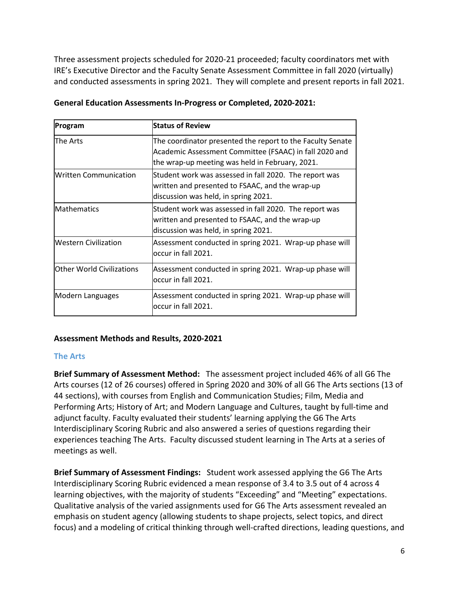Three assessment projects scheduled for 2020-21 proceeded; faculty coordinators met with IRE's Executive Director and the Faculty Senate Assessment Committee in fall 2020 (virtually) and conducted assessments in spring 2021. They will complete and present reports in fall 2021.

| Program                          | <b>Status of Review</b>                                                                                                                                                 |  |  |
|----------------------------------|-------------------------------------------------------------------------------------------------------------------------------------------------------------------------|--|--|
| The Arts                         | The coordinator presented the report to the Faculty Senate<br>Academic Assessment Committee (FSAAC) in fall 2020 and<br>the wrap-up meeting was held in February, 2021. |  |  |
| <b>Written Communication</b>     | Student work was assessed in fall 2020. The report was<br>written and presented to FSAAC, and the wrap-up<br>discussion was held, in spring 2021.                       |  |  |
| <b>Mathematics</b>               | Student work was assessed in fall 2020. The report was<br>written and presented to FSAAC, and the wrap-up<br>discussion was held, in spring 2021.                       |  |  |
| <b>Western Civilization</b>      | Assessment conducted in spring 2021. Wrap-up phase will<br>loccur in fall 2021.                                                                                         |  |  |
| <b>Other World Civilizations</b> | Assessment conducted in spring 2021. Wrap-up phase will<br>loccur in fall 2021.                                                                                         |  |  |
| Modern Languages                 | Assessment conducted in spring 2021. Wrap-up phase will<br>loccur in fall 2021.                                                                                         |  |  |

#### **General Education Assessments In-Progress or Completed, 2020-2021:**

#### **Assessment Methods and Results, 2020-2021**

#### **The Arts**

**Brief Summary of Assessment Method:** The assessment project included 46% of all G6 The Arts courses (12 of 26 courses) offered in Spring 2020 and 30% of all G6 The Arts sections (13 of 44 sections), with courses from English and Communication Studies; Film, Media and Performing Arts; History of Art; and Modern Language and Cultures, taught by full-time and adjunct faculty. Faculty evaluated their students' learning applying the G6 The Arts Interdisciplinary Scoring Rubric and also answered a series of questions regarding their experiences teaching The Arts. Faculty discussed student learning in The Arts at a series of meetings as well.

**Brief Summary of Assessment Findings:** Student work assessed applying the G6 The Arts Interdisciplinary Scoring Rubric evidenced a mean response of 3.4 to 3.5 out of 4 across 4 learning objectives, with the majority of students "Exceeding" and "Meeting" expectations. Qualitative analysis of the varied assignments used for G6 The Arts assessment revealed an emphasis on student agency (allowing students to shape projects, select topics, and direct focus) and a modeling of critical thinking through well-crafted directions, leading questions, and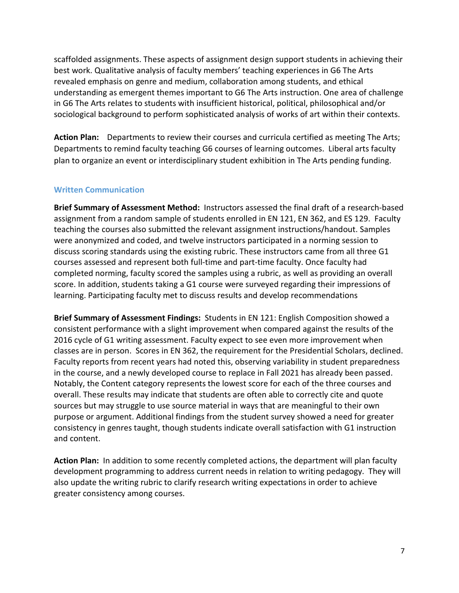scaffolded assignments. These aspects of assignment design support students in achieving their best work. Qualitative analysis of faculty members' teaching experiences in G6 The Arts revealed emphasis on genre and medium, collaboration among students, and ethical understanding as emergent themes important to G6 The Arts instruction. One area of challenge in G6 The Arts relates to students with insufficient historical, political, philosophical and/or sociological background to perform sophisticated analysis of works of art within their contexts.

**Action Plan:** Departments to review their courses and curricula certified as meeting The Arts; Departments to remind faculty teaching G6 courses of learning outcomes. Liberal arts faculty plan to organize an event or interdisciplinary student exhibition in The Arts pending funding.

#### **Written Communication**

**Brief Summary of Assessment Method:** Instructors assessed the final draft of a research-based assignment from a random sample of students enrolled in EN 121, EN 362, and ES 129. Faculty teaching the courses also submitted the relevant assignment instructions/handout. Samples were anonymized and coded, and twelve instructors participated in a norming session to discuss scoring standards using the existing rubric. These instructors came from all three G1 courses assessed and represent both full-time and part-time faculty. Once faculty had completed norming, faculty scored the samples using a rubric, as well as providing an overall score. In addition, students taking a G1 course were surveyed regarding their impressions of learning. Participating faculty met to discuss results and develop recommendations

**Brief Summary of Assessment Findings:** Students in EN 121: English Composition showed a consistent performance with a slight improvement when compared against the results of the 2016 cycle of G1 writing assessment. Faculty expect to see even more improvement when classes are in person. Scores in EN 362, the requirement for the Presidential Scholars, declined. Faculty reports from recent years had noted this, observing variability in student preparedness in the course, and a newly developed course to replace in Fall 2021 has already been passed. Notably, the Content category represents the lowest score for each of the three courses and overall. These results may indicate that students are often able to correctly cite and quote sources but may struggle to use source material in ways that are meaningful to their own purpose or argument. Additional findings from the student survey showed a need for greater consistency in genres taught, though students indicate overall satisfaction with G1 instruction and content.

**Action Plan:** In addition to some recently completed actions, the department will plan faculty development programming to address current needs in relation to writing pedagogy. They will also update the writing rubric to clarify research writing expectations in order to achieve greater consistency among courses.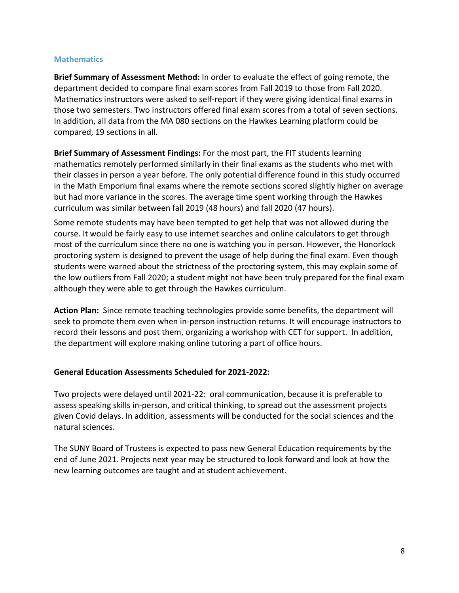#### **Mathematics**

**Brief Summary of Assessment Method:** In order to evaluate the effect of going remote, the department decided to compare final exam scores from Fall 2019 to those from Fall 2020. Mathematics instructors were asked to self-report if they were giving identical final exams in those two semesters. Two instructors offered final exam scores from a total of seven sections. In addition, all data from the MA 080 sections on the Hawkes Learning platform could be compared, 19 sections in all.

**Brief Summary of Assessment Findings:** For the most part, the FIT students learning mathematics remotely performed similarly in their final exams as the students who met with their classes in person a year before. The only potential difference found in this study occurred in the Math Emporium final exams where the remote sections scored slightly higher on average but had more variance in the scores. The average time spent working through the Hawkes curriculum was similar between fall 2019 (48 hours) and fall 2020 (47 hours).

Some remote students may have been tempted to get help that was not allowed during the course. It would be fairly easy to use internet searches and online calculators to get through most of the curriculum since there no one is watching you in person. However, the Honorlock proctoring system is designed to prevent the usage of help during the final exam. Even though students were warned about the strictness of the proctoring system, this may explain some of the low outliers from Fall 2020; a student might not have been truly prepared for the final exam although they were able to get through the Hawkes curriculum.

**Action Plan:** Since remote teaching technologies provide some benefits, the department will seek to promote them even when in-person instruction returns. It will encourage instructors to record their lessons and post them, organizing a workshop with CET for support. In addition, the department will explore making online tutoring a part of office hours.

#### **General Education Assessments Scheduled for 2021-2022:**

Two projects were delayed until 2021-22: oral communication, because it is preferable to assess speaking skills in-person, and critical thinking, to spread out the assessment projects given Covid delays. In addition, assessments will be conducted for the social sciences and the natural sciences.

The SUNY Board of Trustees is expected to pass new General Education requirements by the end of June 2021. Projects next year may be structured to look forward and look at how the new learning outcomes are taught and at student achievement.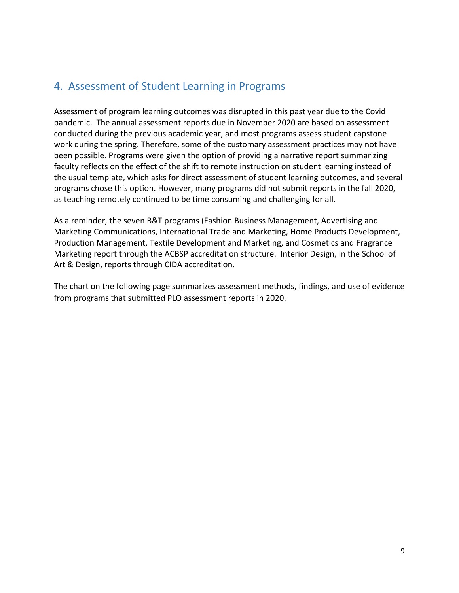# <span id="page-9-0"></span>4. Assessment of Student Learning in Programs

Assessment of program learning outcomes was disrupted in this past year due to the Covid pandemic. The annual assessment reports due in November 2020 are based on assessment conducted during the previous academic year, and most programs assess student capstone work during the spring. Therefore, some of the customary assessment practices may not have been possible. Programs were given the option of providing a narrative report summarizing faculty reflects on the effect of the shift to remote instruction on student learning instead of the usual template, which asks for direct assessment of student learning outcomes, and several programs chose this option. However, many programs did not submit reports in the fall 2020, as teaching remotely continued to be time consuming and challenging for all.

As a reminder, the seven B&T programs (Fashion Business Management, Advertising and Marketing Communications, International Trade and Marketing, Home Products Development, Production Management, Textile Development and Marketing, and Cosmetics and Fragrance Marketing report through the ACBSP accreditation structure. Interior Design, in the School of Art & Design, reports through CIDA accreditation.

The chart on the following page summarizes assessment methods, findings, and use of evidence from programs that submitted PLO assessment reports in 2020.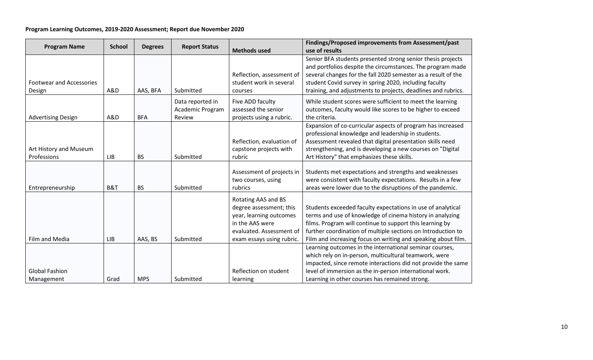#### **Program Learning Outcomes, 2019-2020 Assessment; Report due November 2020**

| <b>Program Name</b>                       | <b>School</b> | <b>Degrees</b> | <b>Report Status</b>                           |                                                                                                                                                       | Findings/Proposed improvements from Assessment/past                                                                                                                                                                                                                                                                   |
|-------------------------------------------|---------------|----------------|------------------------------------------------|-------------------------------------------------------------------------------------------------------------------------------------------------------|-----------------------------------------------------------------------------------------------------------------------------------------------------------------------------------------------------------------------------------------------------------------------------------------------------------------------|
|                                           |               |                |                                                | <b>Methods used</b>                                                                                                                                   | use of results                                                                                                                                                                                                                                                                                                        |
| <b>Footwear and Accessories</b><br>Design | A&D           | AAS, BFA       | Submitted                                      | Reflection, assessment of<br>student work in several<br>courses                                                                                       | Senior BFA students presented strong senior thesis projects<br>and portfolios despite the circumstances. The program made<br>several changes for the fall 2020 semester as a result of the<br>student Covid survey in spring 2020, including faculty<br>training, and adjustments to projects, deadlines and rubrics. |
| <b>Advertising Design</b>                 | A&D           | <b>BFA</b>     | Data reported in<br>Academic Program<br>Review | Five ADD faculty<br>assessed the senior<br>projects using a rubric.                                                                                   | While student scores were sufficient to meet the learning<br>outcomes, faculty would like scores to be higher to exceed<br>the criteria.                                                                                                                                                                              |
| Art History and Museum<br>Professions     | LIB           | <b>BS</b>      | Submitted                                      | Reflection, evaluation of<br>capstone projects with<br>rubric                                                                                         | Expansion of co-curricular aspects of program has increased<br>professional knowledge and leadership in students.<br>Assessment revealed that digital presentation skills need<br>strengthening, and is developing a new courses on "Digital<br>Art History" that emphasizes these skills.                            |
| Entrepreneurship                          | B&T           | <b>BS</b>      | Submitted                                      | Assessment of projects in<br>two courses, using<br>rubrics                                                                                            | Students met expectations and strengths and weaknesses<br>were consistent with faculty expectations. Results in a few<br>areas were lower due to the disruptions of the pandemic.                                                                                                                                     |
| Film and Media                            | LIB           | AAS, BS        | Submitted                                      | Rotating AAS and BS<br>degree assessment; this<br>year, learning outcomes<br>in the AAS were<br>evaluated. Assessment of<br>exam essays using rubric. | Students exceeded faculty expectations in use of analytical<br>terms and use of knowledge of cinema history in analyzing<br>films. Program will continue to support this learning by<br>further coordination of multiple sections on Introduction to<br>Film and increasing focus on writing and speaking about film. |
| <b>Global Fashion</b><br>Management       | Grad          | <b>MPS</b>     | Submitted                                      | Reflection on student<br>learning                                                                                                                     | Learning outcomes in the international seminar courses,<br>which rely on in-person, multicultural teamwork, were<br>impacted, since remote interactions did not provide the same<br>level of immersion as the in-person international work.<br>Learning in other courses has remained strong.                         |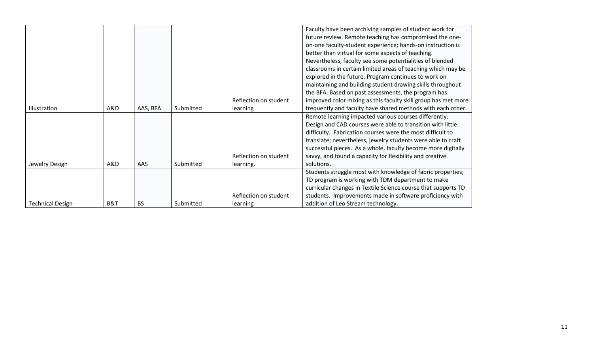|                         |     |           |           | Reflection on student | Faculty have been archiving samples of student work for<br>future review. Remote teaching has compromised the one-<br>on-one faculty-student experience; hands-on instruction is<br>better than virtual for some aspects of teaching.<br>Nevertheless, faculty see some potentialities of blended<br>classrooms in certain limited areas of teaching which may be<br>explored in the future. Program continues to work on<br>maintaining and building student drawing skills throughout<br>the BFA. Based on past assessments, the program has<br>improved color mixing as this faculty skill group has met more |
|-------------------------|-----|-----------|-----------|-----------------------|------------------------------------------------------------------------------------------------------------------------------------------------------------------------------------------------------------------------------------------------------------------------------------------------------------------------------------------------------------------------------------------------------------------------------------------------------------------------------------------------------------------------------------------------------------------------------------------------------------------|
| <b>Illustration</b>     | A&D | AAS, BFA  | Submitted | learning              | frequently and faculty have shared methods with each other.                                                                                                                                                                                                                                                                                                                                                                                                                                                                                                                                                      |
|                         |     |           |           |                       | Remote learning impacted various courses differently.<br>Design and CAD courses were able to transition with little                                                                                                                                                                                                                                                                                                                                                                                                                                                                                              |
|                         |     |           |           |                       | difficulty. Fabrication courses were the most difficult to                                                                                                                                                                                                                                                                                                                                                                                                                                                                                                                                                       |
|                         |     |           |           |                       | translate; nevertheless, jewelry students were able to craft                                                                                                                                                                                                                                                                                                                                                                                                                                                                                                                                                     |
|                         |     |           |           |                       | successful pieces. As a whole, faculty become more digitally                                                                                                                                                                                                                                                                                                                                                                                                                                                                                                                                                     |
|                         |     |           |           | Reflection on student | savvy, and found a capacity for flexibility and creative                                                                                                                                                                                                                                                                                                                                                                                                                                                                                                                                                         |
| Jewelry Design          | A&D | AAS       | Submitted | learning.             | solutions.                                                                                                                                                                                                                                                                                                                                                                                                                                                                                                                                                                                                       |
|                         |     |           |           |                       | Students struggle most with knowledge of fabric properties;                                                                                                                                                                                                                                                                                                                                                                                                                                                                                                                                                      |
|                         |     |           |           |                       | TD program is working with TDM department to make                                                                                                                                                                                                                                                                                                                                                                                                                                                                                                                                                                |
|                         |     |           |           |                       | curricular changes in Textile Science course that supports TD                                                                                                                                                                                                                                                                                                                                                                                                                                                                                                                                                    |
|                         |     |           |           | Reflection on student | students. Improvements made in software proficiency with                                                                                                                                                                                                                                                                                                                                                                                                                                                                                                                                                         |
| <b>Technical Design</b> | B&T | <b>BS</b> | Submitted | learning              | addition of Leo Stream technology.                                                                                                                                                                                                                                                                                                                                                                                                                                                                                                                                                                               |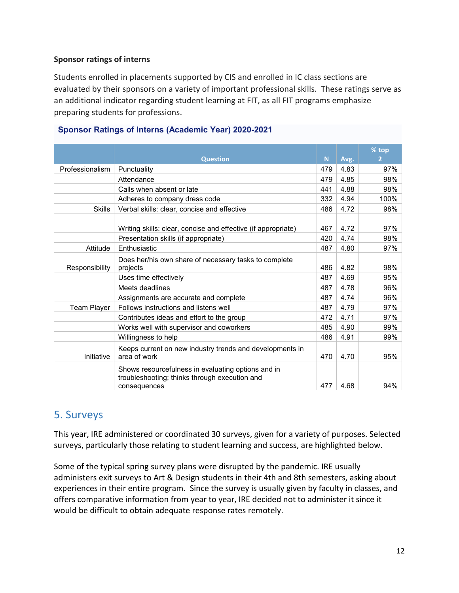#### **Sponsor ratings of interns**

Students enrolled in placements supported by CIS and enrolled in IC class sections are evaluated by their sponsors on a variety of important professional skills. These ratings serve as an additional indicator regarding student learning at FIT, as all FIT programs emphasize preparing students for professions.

|                    |                                                               |     |      | % top |
|--------------------|---------------------------------------------------------------|-----|------|-------|
|                    | <b>Question</b>                                               | N.  | Avg. | 2     |
| Professionalism    | Punctuality                                                   | 479 | 4.83 | 97%   |
|                    | Attendance                                                    | 479 | 4.85 | 98%   |
|                    | Calls when absent or late                                     | 441 | 4.88 | 98%   |
|                    | Adheres to company dress code                                 | 332 | 4.94 | 100%  |
| <b>Skills</b>      | Verbal skills: clear, concise and effective                   | 486 | 4.72 | 98%   |
|                    |                                                               |     |      |       |
|                    | Writing skills: clear, concise and effective (if appropriate) | 467 | 4.72 | 97%   |
|                    | Presentation skills (if appropriate)                          | 420 | 4.74 | 98%   |
| Attitude           | Enthusiastic                                                  | 487 | 4.80 | 97%   |
|                    | Does her/his own share of necessary tasks to complete         |     |      |       |
| Responsibility     | projects                                                      | 486 | 4.82 | 98%   |
|                    | Uses time effectively                                         | 487 | 4.69 | 95%   |
|                    | Meets deadlines                                               | 487 | 4.78 | 96%   |
|                    | Assignments are accurate and complete                         | 487 | 4.74 | 96%   |
| <b>Team Player</b> | Follows instructions and listens well                         | 487 | 4.79 | 97%   |
|                    | Contributes ideas and effort to the group                     | 472 | 4.71 | 97%   |
|                    | Works well with supervisor and coworkers                      | 485 | 4.90 | 99%   |
|                    | Willingness to help                                           | 486 | 4.91 | 99%   |
|                    | Keeps current on new industry trends and developments in      |     |      |       |
| Initiative         | area of work                                                  | 470 | 4.70 | 95%   |
|                    | Shows resourcefulness in evaluating options and in            |     |      |       |
|                    | troubleshooting; thinks through execution and                 |     |      |       |
|                    | consequences                                                  | 477 | 4.68 | 94%   |

#### **Sponsor Ratings of Interns (Academic Year) 2020-2021**

# <span id="page-12-0"></span>5. Surveys

This year, IRE administered or coordinated 30 surveys, given for a variety of purposes. Selected surveys, particularly those relating to student learning and success, are highlighted below.

Some of the typical spring survey plans were disrupted by the pandemic. IRE usually administers exit surveys to Art & Design students in their 4th and 8th semesters, asking about experiences in their entire program. Since the survey is usually given by faculty in classes, and offers comparative information from year to year, IRE decided not to administer it since it would be difficult to obtain adequate response rates remotely.